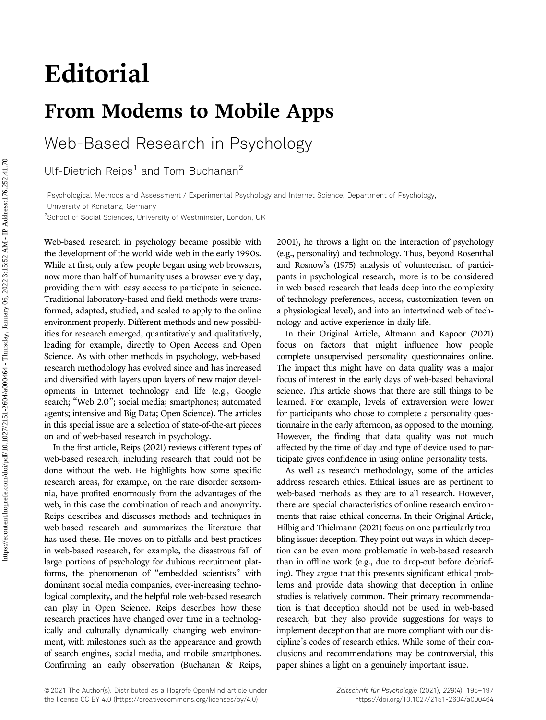# Editorial

## From Modems to Mobile Apps

Web-Based Research in Psychology

Ulf-Dietrich Reips<sup>1</sup> and Tom Buchanan<sup>2</sup>

1 Psychological Methods and Assessment / Experimental Psychology and Internet Science, Department of Psychology,

University of Konstanz, Germany

<sup>2</sup>School of Social Sciences, University of Westminster, London, UK

Web-based research in psychology became possible with the development of the world wide web in the early 1990s. While at first, only a few people began using web browsers, now more than half of humanity uses a browser every day, providing them with easy access to participate in science. Traditional laboratory-based and field methods were transformed, adapted, studied, and scaled to apply to the online environment properly. Different methods and new possibilities for research emerged, quantitatively and qualitatively, leading for example, directly to Open Access and Open Science. As with other methods in psychology, web-based research methodology has evolved since and has increased and diversified with layers upon layers of new major developments in Internet technology and life (e.g., Google search; "Web 2.0"; social media; smartphones; automated agents; intensive and Big Data; Open Science). The articles in this special issue are a selection of state-of-the-art pieces on and of web-based research in psychology.

In the first article, Reips (2021) reviews different types of web-based research, including research that could not be done without the web. He highlights how some specific research areas, for example, on the rare disorder sexsomnia, have profited enormously from the advantages of the web, in this case the combination of reach and anonymity. Reips describes and discusses methods and techniques in web-based research and summarizes the literature that has used these. He moves on to pitfalls and best practices in web-based research, for example, the disastrous fall of large portions of psychology for dubious recruitment platforms, the phenomenon of "embedded scientists" with dominant social media companies, ever-increasing technological complexity, and the helpful role web-based research can play in Open Science. Reips describes how these research practices have changed over time in a technologically and culturally dynamically changing web environment, with milestones such as the appearance and growth of search engines, social media, and mobile smartphones. Confirming an early observation (Buchanan & Reips,

2001), he throws a light on the interaction of psychology (e.g., personality) and technology. Thus, beyond Rosenthal and Rosnow's (1975) analysis of volunteerism of participants in psychological research, more is to be considered in web-based research that leads deep into the complexity of technology preferences, access, customization (even on a physiological level), and into an intertwined web of technology and active experience in daily life.

In their Original Article, Altmann and Kapoor (2021) focus on factors that might influence how people complete unsupervised personality questionnaires online. The impact this might have on data quality was a major focus of interest in the early days of web-based behavioral science. This article shows that there are still things to be learned. For example, levels of extraversion were lower for participants who chose to complete a personality questionnaire in the early afternoon, as opposed to the morning. However, the finding that data quality was not much affected by the time of day and type of device used to participate gives confidence in using online personality tests.

As well as research methodology, some of the articles address research ethics. Ethical issues are as pertinent to web-based methods as they are to all research. However, there are special characteristics of online research environments that raise ethical concerns. In their Original Article, Hilbig and Thielmann (2021) focus on one particularly troubling issue: deception. They point out ways in which deception can be even more problematic in web-based research than in offline work (e.g., due to drop-out before debriefing). They argue that this presents significant ethical problems and provide data showing that deception in online studies is relatively common. Their primary recommendation is that deception should not be used in web-based research, but they also provide suggestions for ways to implement deception that are more compliant with our discipline's codes of research ethics. While some of their conclusions and recommendations may be controversial, this paper shines a light on a genuinely important issue.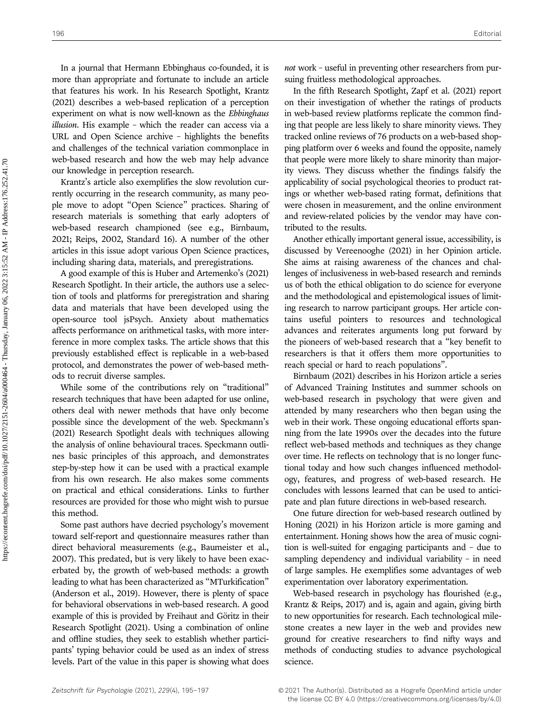In a journal that Hermann Ebbinghaus co-founded, it is more than appropriate and fortunate to include an article that features his work. In his Research Spotlight, Krantz (2021) describes a web-based replication of a perception experiment on what is now well-known as the Ebbinghaus illusion. His example – which the reader can access via a URL and Open Science archive – highlights the benefits and challenges of the technical variation commonplace in web-based research and how the web may help advance our knowledge in perception research.

Krantz's article also exemplifies the slow revolution currently occurring in the research community, as many people move to adopt "Open Science" practices. Sharing of research materials is something that early adopters of web-based research championed (see e.g., Birnbaum, 2021; Reips, 2002, Standard 16). A number of the other articles in this issue adopt various Open Science practices, including sharing data, materials, and preregistrations.

A good example of this is Huber and Artemenko's (2021) Research Spotlight. In their article, the authors use a selection of tools and platforms for preregistration and sharing data and materials that have been developed using the open-source tool jsPsych. Anxiety about mathematics affects performance on arithmetical tasks, with more interference in more complex tasks. The article shows that this previously established effect is replicable in a web-based protocol, and demonstrates the power of web-based methods to recruit diverse samples.

While some of the contributions rely on "traditional" research techniques that have been adapted for use online, others deal with newer methods that have only become possible since the development of the web. Speckmann's (2021) Research Spotlight deals with techniques allowing the analysis of online behavioural traces. Speckmann outlines basic principles of this approach, and demonstrates step-by-step how it can be used with a practical example from his own research. He also makes some comments on practical and ethical considerations. Links to further resources are provided for those who might wish to pursue this method.

Some past authors have decried psychology's movement toward self-report and questionnaire measures rather than direct behavioral measurements (e.g., Baumeister et al., 2007). This predated, but is very likely to have been exacerbated by, the growth of web-based methods: a growth leading to what has been characterized as "MTurkification" (Anderson et al., 2019). However, there is plenty of space for behavioral observations in web-based research. A good example of this is provided by Freihaut and Göritz in their Research Spotlight (2021). Using a combination of online and offline studies, they seek to establish whether participants' typing behavior could be used as an index of stress levels. Part of the value in this paper is showing what does not work – useful in preventing other researchers from pursuing fruitless methodological approaches.

In the fifth Research Spotlight, Zapf et al. (2021) report on their investigation of whether the ratings of products in web-based review platforms replicate the common finding that people are less likely to share minority views. They tracked online reviews of 76 products on a web-based shopping platform over 6 weeks and found the opposite, namely that people were more likely to share minority than majority views. They discuss whether the findings falsify the applicability of social psychological theories to product ratings or whether web-based rating format, definitions that were chosen in measurement, and the online environment and review-related policies by the vendor may have contributed to the results.

Another ethically important general issue, accessibility, is discussed by Vereenooghe (2021) in her Opinion article. She aims at raising awareness of the chances and challenges of inclusiveness in web-based research and reminds us of both the ethical obligation to do science for everyone and the methodological and epistemological issues of limiting research to narrow participant groups. Her article contains useful pointers to resources and technological advances and reiterates arguments long put forward by the pioneers of web-based research that a "key benefit to researchers is that it offers them more opportunities to reach special or hard to reach populations".

Birnbaum (2021) describes in his Horizon article a series of Advanced Training Institutes and summer schools on web-based research in psychology that were given and attended by many researchers who then began using the web in their work. These ongoing educational efforts spanning from the late 1990s over the decades into the future reflect web-based methods and techniques as they change over time. He reflects on technology that is no longer functional today and how such changes influenced methodology, features, and progress of web-based research. He concludes with lessons learned that can be used to anticipate and plan future directions in web-based research.

One future direction for web-based research outlined by Honing (2021) in his Horizon article is more gaming and entertainment. Honing shows how the area of music cognition is well-suited for engaging participants and – due to sampling dependency and individual variability – in need of large samples. He exemplifies some advantages of web experimentation over laboratory experimentation.

Web-based research in psychology has flourished (e.g., Krantz & Reips, 2017) and is, again and again, giving birth to new opportunities for research. Each technological milestone creates a new layer in the web and provides new ground for creative researchers to find nifty ways and methods of conducting studies to advance psychological science.